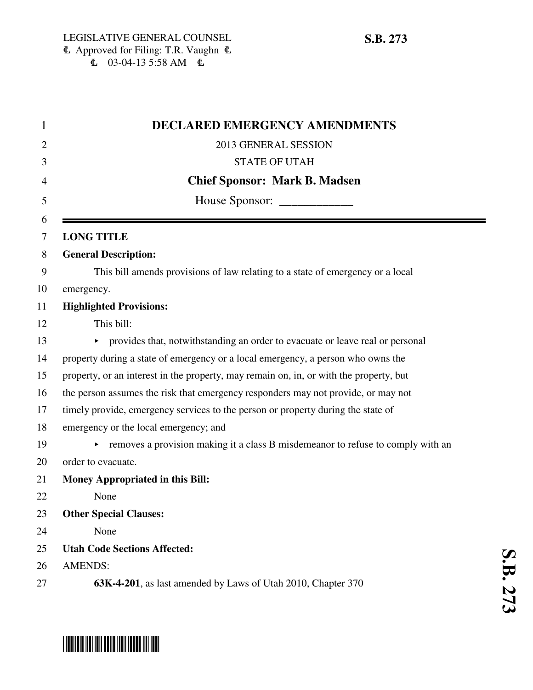| 1      | <b>DECLARED EMERGENCY AMENDMENTS</b>                                                   |
|--------|----------------------------------------------------------------------------------------|
| 2      | 2013 GENERAL SESSION                                                                   |
| 3      | <b>STATE OF UTAH</b>                                                                   |
| 4      | <b>Chief Sponsor: Mark B. Madsen</b>                                                   |
| 5      |                                                                                        |
| 6<br>7 | <b>LONG TITLE</b>                                                                      |
| 8      | <b>General Description:</b>                                                            |
| 9      | This bill amends provisions of law relating to a state of emergency or a local         |
| 10     | emergency.                                                                             |
| 11     | <b>Highlighted Provisions:</b>                                                         |
| 12     | This bill:                                                                             |
| 13     | • provides that, notwithstanding an order to evacuate or leave real or personal        |
| 14     | property during a state of emergency or a local emergency, a person who owns the       |
| 15     | property, or an interest in the property, may remain on, in, or with the property, but |
| 16     | the person assumes the risk that emergency responders may not provide, or may not      |
| 17     | timely provide, emergency services to the person or property during the state of       |
| 18     | emergency or the local emergency; and                                                  |
| 19     | removes a provision making it a class B misdemeanor to refuse to comply with an        |
| 20     | order to evacuate.                                                                     |
| 21     | <b>Money Appropriated in this Bill:</b>                                                |
| 22     | None                                                                                   |
| 23     | <b>Other Special Clauses:</b>                                                          |
| 24     | None                                                                                   |
| 25     | <b>Utah Code Sections Affected:</b>                                                    |
| 26     | <b>AMENDS:</b>                                                                         |
| 27     | 63K-4-201, as last amended by Laws of Utah 2010, Chapter 370                           |

# \* SB027373 \* SB127311 \* SB127311 \* SB127311 \* SB12731 \* SB12731 \* SB12731 \* SB127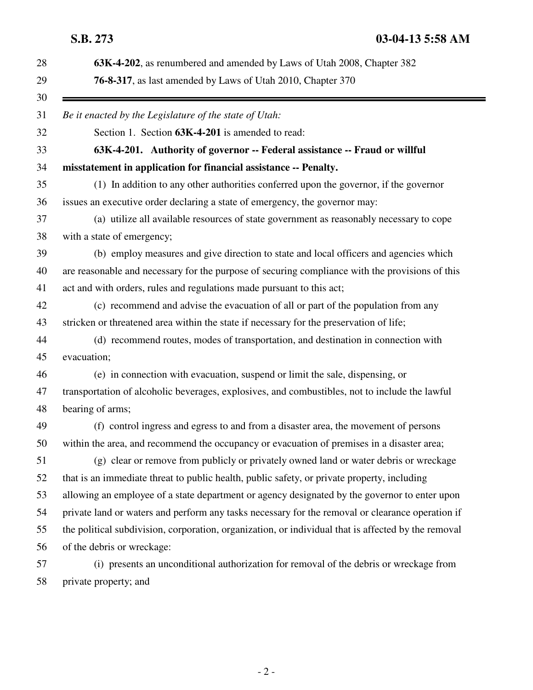| 63K-4-202, as renumbered and amended by Laws of Utah 2008, Chapter 382                              |
|-----------------------------------------------------------------------------------------------------|
| <b>76-8-317</b> , as last amended by Laws of Utah 2010, Chapter 370                                 |
| Be it enacted by the Legislature of the state of Utah:                                              |
| Section 1. Section 63K-4-201 is amended to read:                                                    |
| 63K-4-201. Authority of governor -- Federal assistance -- Fraud or willful                          |
| misstatement in application for financial assistance -- Penalty.                                    |
| (1) In addition to any other authorities conferred upon the governor, if the governor               |
| issues an executive order declaring a state of emergency, the governor may:                         |
| (a) utilize all available resources of state government as reasonably necessary to cope             |
| with a state of emergency;                                                                          |
| (b) employ measures and give direction to state and local officers and agencies which               |
| are reasonable and necessary for the purpose of securing compliance with the provisions of this     |
| act and with orders, rules and regulations made pursuant to this act;                               |
| (c) recommend and advise the evacuation of all or part of the population from any                   |
| stricken or threatened area within the state if necessary for the preservation of life;             |
| (d) recommend routes, modes of transportation, and destination in connection with                   |
| evacuation;                                                                                         |
| (e) in connection with evacuation, suspend or limit the sale, dispensing, or                        |
| transportation of alcoholic beverages, explosives, and combustibles, not to include the lawful      |
| bearing of arms;                                                                                    |
| (f) control ingress and egress to and from a disaster area, the movement of persons                 |
| within the area, and recommend the occupancy or evacuation of premises in a disaster area;          |
| (g) clear or remove from publicly or privately owned land or water debris or wreckage               |
| that is an immediate threat to public health, public safety, or private property, including         |
| allowing an employee of a state department or agency designated by the governor to enter upon       |
| private land or waters and perform any tasks necessary for the removal or clearance operation if    |
| the political subdivision, corporation, organization, or individual that is affected by the removal |
| of the debris or wreckage:                                                                          |
| (i) presents an unconditional authorization for removal of the debris or wreckage from              |

58 private property; and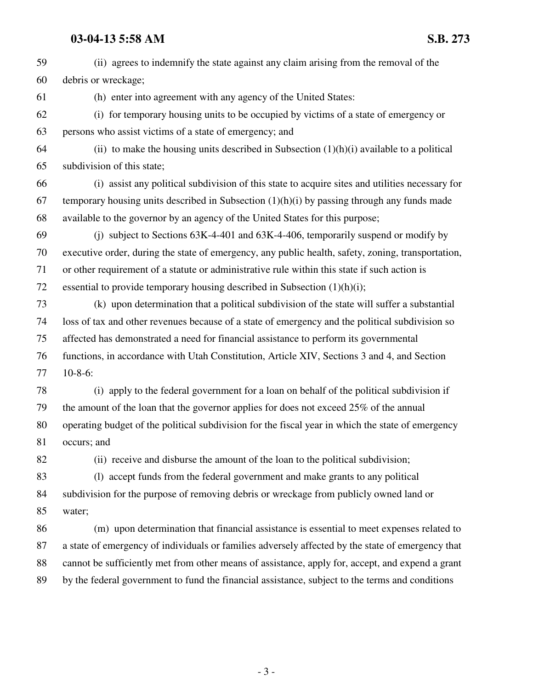### **03-04-13 5:58 AM S.B. 273**

59 (ii) agrees to indemnify the state against any claim arising from the removal of the 60 debris or wreckage; 61 (h) enter into agreement with any agency of the United States: 62 (i) for temporary housing units to be occupied by victims of a state of emergency or 63 persons who assist victims of a state of emergency; and 64 (ii) to make the housing units described in Subsection  $(1)(h)(i)$  available to a political 65 subdivision of this state; 66 (i) assist any political subdivision of this state to acquire sites and utilities necessary for 67 temporary housing units described in Subsection  $(1)(h)(i)$  by passing through any funds made 68 available to the governor by an agency of the United States for this purpose; 69 (j) subject to Sections 63K-4-401 and 63K-4-406, temporarily suspend or modify by 70 executive order, during the state of emergency, any public health, safety, zoning, transportation, 71 or other requirement of a statute or administrative rule within this state if such action is 72 essential to provide temporary housing described in Subsection (1)(h)(i); 73 (k) upon determination that a political subdivision of the state will suffer a substantial 74 loss of tax and other revenues because of a state of emergency and the political subdivision so 75 affected has demonstrated a need for financial assistance to perform its governmental 76 functions, in accordance with Utah Constitution, Article XIV, Sections 3 and 4, and Section 77 10-8-6: 78 (i) apply to the federal government for a loan on behalf of the political subdivision if 79 the amount of the loan that the governor applies for does not exceed 25% of the annual 80 operating budget of the political subdivision for the fiscal year in which the state of emergency 81 occurs; and 82 (ii) receive and disburse the amount of the loan to the political subdivision; 83 (l) accept funds from the federal government and make grants to any political 84 subdivision for the purpose of removing debris or wreckage from publicly owned land or 85 water; 86 (m) upon determination that financial assistance is essential to meet expenses related to 87 a state of emergency of individuals or families adversely affected by the state of emergency that 88 cannot be sufficiently met from other means of assistance, apply for, accept, and expend a grant 89 by the federal government to fund the financial assistance, subject to the terms and conditions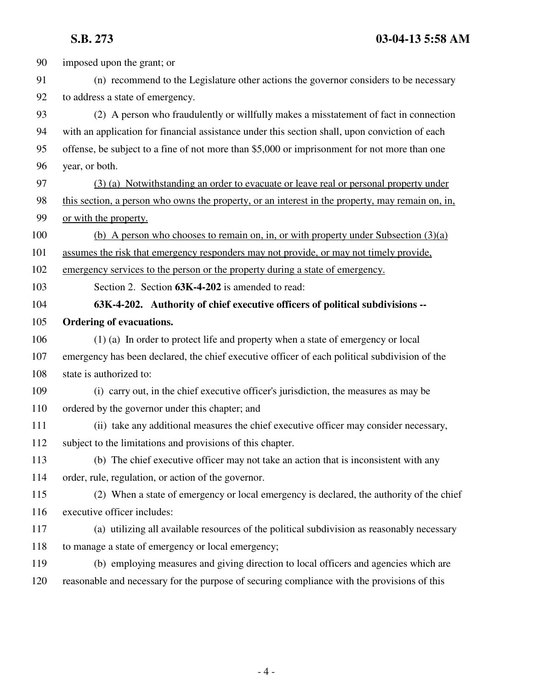90 imposed upon the grant; or 91 (n) recommend to the Legislature other actions the governor considers to be necessary 92 to address a state of emergency. 93 (2) A person who fraudulently or willfully makes a misstatement of fact in connection 94 with an application for financial assistance under this section shall, upon conviction of each 95 offense, be subject to a fine of not more than \$5,000 or imprisonment for not more than one 96 year, or both. 97 (3) (a) Notwithstanding an order to evacuate or leave real or personal property under 98 this section, a person who owns the property, or an interest in the property, may remain on, in, 99 or with the property. 100 (b) A person who chooses to remain on, in, or with property under Subsection (3)(a) 101 assumes the risk that emergency responders may not provide, or may not timely provide, 102 emergency services to the person or the property during a state of emergency. 103 Section 2. Section **63K-4-202** is amended to read: 104 **63K-4-202. Authority of chief executive officers of political subdivisions --** 105 **Ordering of evacuations.** 106 (1) (a) In order to protect life and property when a state of emergency or local 107 emergency has been declared, the chief executive officer of each political subdivision of the 108 state is authorized to: 109 (i) carry out, in the chief executive officer's jurisdiction, the measures as may be 110 ordered by the governor under this chapter; and 111 (ii) take any additional measures the chief executive officer may consider necessary, 112 subject to the limitations and provisions of this chapter. 113 (b) The chief executive officer may not take an action that is inconsistent with any 114 order, rule, regulation, or action of the governor. 115 (2) When a state of emergency or local emergency is declared, the authority of the chief 116 executive officer includes: 117 (a) utilizing all available resources of the political subdivision as reasonably necessary 118 to manage a state of emergency or local emergency; 119 (b) employing measures and giving direction to local officers and agencies which are 120 reasonable and necessary for the purpose of securing compliance with the provisions of this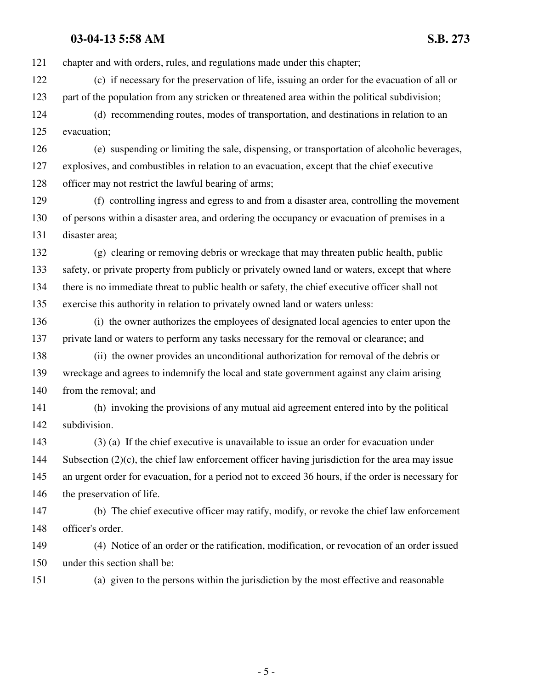## **03-04-13 5:58 AM S.B. 273**

121 chapter and with orders, rules, and regulations made under this chapter; 122 (c) if necessary for the preservation of life, issuing an order for the evacuation of all or 123 part of the population from any stricken or threatened area within the political subdivision; 124 (d) recommending routes, modes of transportation, and destinations in relation to an 125 evacuation; 126 (e) suspending or limiting the sale, dispensing, or transportation of alcoholic beverages, 127 explosives, and combustibles in relation to an evacuation, except that the chief executive 128 officer may not restrict the lawful bearing of arms; 129 (f) controlling ingress and egress to and from a disaster area, controlling the movement 130 of persons within a disaster area, and ordering the occupancy or evacuation of premises in a 131 disaster area; 132 (g) clearing or removing debris or wreckage that may threaten public health, public 133 safety, or private property from publicly or privately owned land or waters, except that where 134 there is no immediate threat to public health or safety, the chief executive officer shall not 135 exercise this authority in relation to privately owned land or waters unless: 136 (i) the owner authorizes the employees of designated local agencies to enter upon the 137 private land or waters to perform any tasks necessary for the removal or clearance; and 138 (ii) the owner provides an unconditional authorization for removal of the debris or 139 wreckage and agrees to indemnify the local and state government against any claim arising 140 from the removal; and 141 (h) invoking the provisions of any mutual aid agreement entered into by the political 142 subdivision. 143 (3) (a) If the chief executive is unavailable to issue an order for evacuation under 144 Subsection (2)(c), the chief law enforcement officer having jurisdiction for the area may issue 145 an urgent order for evacuation, for a period not to exceed 36 hours, if the order is necessary for 146 the preservation of life. 147 (b) The chief executive officer may ratify, modify, or revoke the chief law enforcement 148 officer's order. 149 (4) Notice of an order or the ratification, modification, or revocation of an order issued 150 under this section shall be: 151 (a) given to the persons within the jurisdiction by the most effective and reasonable

- 5 -